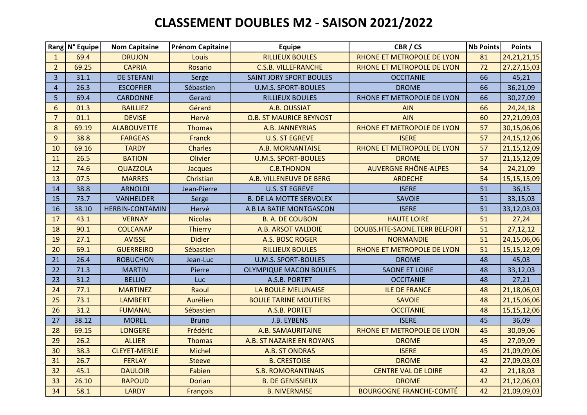## **CLASSEMENT DOUBLES M2 - SAISON 2021/2022**

|                | Rang N° Equipe | <b>Nom Capitaine</b>   | <b>Prénom Capitaine</b> | <b>Equipe</b>                  | CBR / CS                       | Nb Points | <b>Points</b>  |
|----------------|----------------|------------------------|-------------------------|--------------------------------|--------------------------------|-----------|----------------|
| $\mathbf{1}$   | 69.4           | <b>DRUJON</b>          | Louis                   | <b>RILLIEUX BOULES</b>         | RHONE ET METROPOLE DE LYON     | 81        | 24, 21, 21, 15 |
| $\overline{2}$ | 69.25          | <b>CAPRIA</b>          | <b>Rosario</b>          | <b>C.S.B. VILLEFRANCHE</b>     | RHONE ET METROPOLE DE LYON     | 72        | 27, 27, 15, 03 |
| $\overline{3}$ | 31.1           | <b>DE STEFANI</b>      | Serge                   | <b>SAINT JORY SPORT BOULES</b> | <b>OCCITANIE</b>               | 66        | 45,21          |
| $\overline{4}$ | 26.3           | <b>ESCOFFIER</b>       | Sébastien               | <b>U.M.S. SPORT-BOULES</b>     | <b>DROME</b>                   | 66        | 36,21,09       |
| 5              | 69.4           | <b>CARDONNE</b>        | Gerard                  | <b>RILLIEUX BOULES</b>         | RHONE ET METROPOLE DE LYON     | 66        | 30,27,09       |
| $6\phantom{1}$ | 01.3           | <b>BAILLIEZ</b>        | Gérard                  | A.B. OUSSIAT                   | <b>AIN</b>                     | 66        | 24, 24, 18     |
| $\overline{7}$ | 01.1           | <b>DEVISE</b>          | Hervé                   | <b>O.B. ST MAURICE BEYNOST</b> | <b>AIN</b>                     | 60        | 27,21,09,03    |
| $\bf 8$        | 69.19          | <b>ALABOUVETTE</b>     | <b>Thomas</b>           | A.B. JANNEYRIAS                | RHONE ET METROPOLE DE LYON     | 57        | 30,15,06,06    |
| 9              | 38.8           | <b>FARGEAS</b>         | Franck                  | <b>U.S. ST EGREVE</b>          | <b>ISERE</b>                   | 57        | 24, 15, 12, 06 |
| 10             | 69.16          | <b>TARDY</b>           | <b>Charles</b>          | A.B. MORNANTAISE               | RHONE ET METROPOLE DE LYON     | 57        | 21,15,12,09    |
| 11             | 26.5           | <b>BATION</b>          | Olivier                 | <b>U.M.S. SPORT-BOULES</b>     | <b>DROME</b>                   | 57        | 21,15,12,09    |
| 12             | 74.6           | <b>QUAZZOLA</b>        | Jacques                 | <b>C.B.THONON</b>              | <b>AUVERGNE RHÔNE-ALPES</b>    | 54        | 24,21,09       |
| 13             | 07.5           | <b>MARRES</b>          | Christian               | A.B. VILLENEUVE DE BERG        | <b>ARDECHE</b>                 | 54        | 15,15,15,09    |
| 14             | 38.8           | <b>ARNOLDI</b>         | Jean-Pierre             | <b>U.S. ST EGREVE</b>          | <b>ISERE</b>                   | 51        | 36,15          |
| 15             | 73.7           | <b>VANHELDER</b>       | Serge                   | <b>B. DE LA MOTTE SERVOLEX</b> | SAVOIE                         | 51        | 33,15,03       |
| 16             | 38.10          | <b>HERBIN-CONTAMIN</b> | Hervé                   | A B LA BATIE MONTGASCON        | <b>ISERE</b>                   | 51        | 33,12,03,03    |
| 17             | 43.1           | <b>VERNAY</b>          | <b>Nicolas</b>          | <b>B. A. DE COUBON</b>         | <b>HAUTE LOIRE</b>             | 51        | 27,24          |
| 18             | 90.1           | <b>COLCANAP</b>        | <b>Thierry</b>          | A.B. ARSOT VALDOIE             | DOUBS.HTE-SAONE.TERR BELFORT   | 51        | 27, 12, 12     |
| 19             | 27.1           | <b>AVISSE</b>          | <b>Didier</b>           | A.S. BOSC ROGER                | <b>NORMANDIE</b>               | 51        | 24,15,06,06    |
| 20             | 69.1           | <b>GUERREIRO</b>       | Sébastien               | <b>RILLIEUX BOULES</b>         | RHONE ET METROPOLE DE LYON     | 51        | 15, 15, 12, 09 |
| 21             | 26.4           | <b>ROBUCHON</b>        | Jean-Luc                | <b>U.M.S. SPORT-BOULES</b>     | <b>DROME</b>                   | 48        | 45,03          |
| 22             | 71.3           | <b>MARTIN</b>          | Pierre                  | <b>OLYMPIQUE MACON BOULES</b>  | <b>SAONE ET LOIRE</b>          | 48        | 33,12,03       |
| 23             | 31.2           | <b>BELLIO</b>          | Luc                     | A.S.B. PORTET                  | <b>OCCITANIE</b>               | 48        | 27,21          |
| 24             | 77.1           | <b>MARTINEZ</b>        | Raoul                   | LA BOULE MELUNAISE             | <b>ILE DE FRANCE</b>           | 48        | 21,18,06,03    |
| 25             | 73.1           | <b>LAMBERT</b>         | Aurélien                | <b>BOULE TARINE MOUTIERS</b>   | <b>SAVOIE</b>                  | 48        | 21,15,06,06    |
| 26             | 31.2           | <b>FUMANAL</b>         | Sébastien               | A.S.B. PORTET                  | <b>OCCITANIE</b>               | 48        | 15, 15, 12, 06 |
| 27             | 38.12          | <b>MOREL</b>           | <b>Bruno</b>            | J.B. EYBENS                    | <b>ISERE</b>                   | 45        | 36,09          |
| 28             | 69.15          | <b>LONGERE</b>         | Frédéric                | A.B. SAMAURITAINE              | RHONE ET METROPOLE DE LYON     | 45        | 30,09,06       |
| 29             | 26.2           | <b>ALLIER</b>          | <b>Thomas</b>           | A.B. ST NAZAIRE EN ROYANS      | <b>DROME</b>                   | 45        | 27,09,09       |
| 30             | 38.3           | <b>CLEYET-MERLE</b>    | <b>Michel</b>           | A.B. ST ONDRAS                 | <b>ISERE</b>                   | 45        | 21,09,09,06    |
| 31             | 26.7           | <b>FERLAY</b>          | <b>Steeve</b>           | <b>B. CRESTOISE</b>            | <b>DROME</b>                   | 42        | 27,09,03,03    |
| 32             | 45.1           | <b>DAULOIR</b>         | Fabien                  | <b>S.B. ROMORANTINAIS</b>      | <b>CENTRE VAL DE LOIRE</b>     | 42        | 21,18,03       |
| 33             | 26.10          | <b>RAPOUD</b>          | <b>Dorian</b>           | <b>B. DE GENISSIEUX</b>        | <b>DROME</b>                   | 42        | 21,12,06,03    |
| 34             | 58.1           | <b>LARDY</b>           | François                | <b>B. NIVERNAISE</b>           | <b>BOURGOGNE FRANCHE-COMTÉ</b> | 42        | 21,09,09,03    |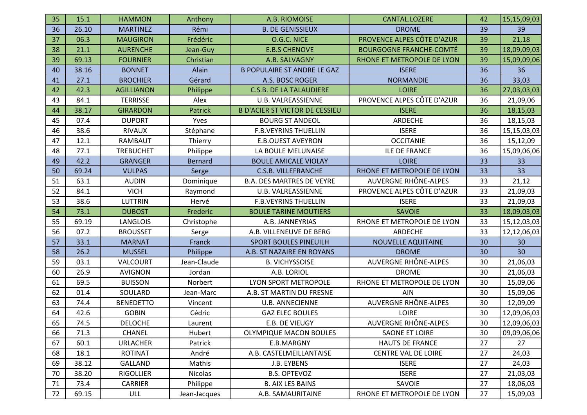| 35 | 15.1  | <b>HAMMON</b>     | Anthony        | A.B. RIOMOISE                         | CANTAL.LOZERE                  | 42 | 15,15,09,03 |
|----|-------|-------------------|----------------|---------------------------------------|--------------------------------|----|-------------|
| 36 | 26.10 | <b>MARTINEZ</b>   | Rémi           | <b>B. DE GENISSIEUX</b>               | <b>DROME</b>                   | 39 | 39          |
| 37 | 06.3  | <b>MAUGIRON</b>   | Frédéric       | O.G.C. NICE                           | PROVENCE ALPES CÔTE D'AZUR     | 39 | 21,18       |
| 38 | 21.1  | <b>AURENCHE</b>   | Jean-Guy       | <b>E.B.S CHENOVE</b>                  | <b>BOURGOGNE FRANCHE-COMTÉ</b> | 39 | 18,09,09,03 |
| 39 | 69.13 | <b>FOURNIER</b>   | Christian      | A.B. SALVAGNY                         | RHONE ET METROPOLE DE LYON     | 39 | 15,09,09,06 |
| 40 | 38.16 | <b>BONNET</b>     | Alain          | <b>B POPULAIRE ST ANDRE LE GAZ</b>    | <b>ISERE</b>                   | 36 | 36          |
| 41 | 27.1  | <b>BROCHIER</b>   | Gérard         | A.S. BOSC ROGER                       | <b>NORMANDIE</b>               | 36 | 33,03       |
| 42 | 42.3  | <b>AGILLIANON</b> | Philippe       | <b>C.S.B. DE LA TALAUDIERE</b>        | <b>LOIRE</b>                   | 36 | 27,03,03,03 |
| 43 | 84.1  | <b>TERRISSE</b>   | Alex           | <b>U.B. VALREASSIENNE</b>             | PROVENCE ALPES CÔTE D'AZUR     | 36 | 21,09,06    |
| 44 | 38.17 | <b>GIRARDON</b>   | <b>Patrick</b> | <b>B D'ACIER ST VICTOR DE CESSIEU</b> | <b>ISERE</b>                   | 36 | 18,15,03    |
| 45 | 07.4  | <b>DUPORT</b>     | Yves           | <b>BOURG ST ANDEOL</b>                | <b>ARDECHE</b>                 | 36 | 18,15,03    |
| 46 | 38.6  | <b>RIVAUX</b>     | Stéphane       | <b>F.B.VEYRINS THUELLIN</b>           | <b>ISERE</b>                   | 36 | 15,15,03,03 |
| 47 | 12.1  | RAMBAUT           | Thierry        | <b>E.B.OUEST AVEYRON</b>              | <b>OCCITANIE</b>               | 36 | 15,12,09    |
| 48 | 77.1  | <b>TREBUCHET</b>  | Philippe       | LA BOULE MELUNAISE                    | <b>ILE DE FRANCE</b>           | 36 | 15,09,06,06 |
| 49 | 42.2  | <b>GRANGER</b>    | <b>Bernard</b> | <b>BOULE AMICALE VIOLAY</b>           | <b>LOIRE</b>                   | 33 | 33          |
| 50 | 69.24 | <b>VULPAS</b>     | Serge          | <b>C.S.B. VILLEFRANCHE</b>            | RHONE ET METROPOLE DE LYON     | 33 | 33          |
| 51 | 63.1  | <b>AUDIN</b>      | Dominique      | <b>B.A. DES MARTRES DE VEYRE</b>      | <b>AUVERGNE RHÔNE-ALPES</b>    | 33 | 21,12       |
| 52 | 84.1  | <b>VICH</b>       | Raymond        | <b>U.B. VALREASSIENNE</b>             | PROVENCE ALPES CÔTE D'AZUR     | 33 | 21,09,03    |
| 53 | 38.6  | <b>LUTTRIN</b>    | Hervé          | <b>F.B.VEYRINS THUELLIN</b>           | <b>ISERE</b>                   | 33 | 21,09,03    |
| 54 | 73.1  | <b>DUBOST</b>     | Frederic       | <b>BOULE TARINE MOUTIERS</b>          | <b>SAVOIE</b>                  | 33 | 18,09,03,03 |
| 55 | 69.19 | <b>LANGLOIS</b>   | Christophe     | A.B. JANNEYRIAS                       | RHONE ET METROPOLE DE LYON     | 33 | 15,12,03,03 |
| 56 | 07.2  | <b>BROUSSET</b>   | Serge          | A.B. VILLENEUVE DE BERG               | ARDECHE                        | 33 | 12,12,06,03 |
| 57 | 33.1  | <b>MARNAT</b>     | Franck         | <b>SPORT BOULES PINEUILH</b>          | <b>NOUVELLE AQUITAINE</b>      | 30 | 30          |
| 58 | 26.2  | <b>MUSSEL</b>     | Philippe       | A.B. ST NAZAIRE EN ROYANS             | <b>DROME</b>                   | 30 | 30          |
| 59 | 03.1  | VALCOURT          | Jean-Claude    | <b>B. VICHYSSOISE</b>                 | AUVERGNE RHÔNE-ALPES           | 30 | 21,06,03    |
| 60 | 26.9  | <b>AVIGNON</b>    | Jordan         | A.B. LORIOL                           | <b>DROME</b>                   | 30 | 21,06,03    |
| 61 | 69.5  | <b>BUISSON</b>    | Norbert        | LYON SPORT METROPOLE                  | RHONE ET METROPOLE DE LYON     | 30 | 15,09,06    |
| 62 | 01.4  | SOULARD           | Jean-Marc      | A.B. ST MARTIN DU FRESNE              | AIN                            | 30 | 15,09,06    |
| 63 | 74.4  | <b>BENEDETTO</b>  | Vincent        | <b>U.B. ANNECIENNE</b>                | <b>AUVERGNE RHÔNE-ALPES</b>    | 30 | 12,09,09    |
| 64 | 42.6  | <b>GOBIN</b>      | Cédric         | <b>GAZ ELEC BOULES</b>                | LOIRE                          | 30 | 12,09,06,03 |
| 65 | 74.5  | <b>DELOCHE</b>    | Laurent        | E.B. DE VIEUGY                        | AUVERGNE RHÔNE-ALPES           | 30 | 12,09,06,03 |
| 66 | 71.3  | <b>CHANEL</b>     | Hubert         | <b>OLYMPIQUE MACON BOULES</b>         | SAONE ET LOIRE                 | 30 | 09,09,06,06 |
| 67 | 60.1  | <b>URLACHER</b>   | Patrick        | E.B.MARGNY                            | <b>HAUTS DE FRANCE</b>         | 27 | 27          |
| 68 | 18.1  | <b>ROTINAT</b>    | André          | A.B. CASTELMEILLANTAISE               | <b>CENTRE VAL DE LOIRE</b>     | 27 | 24,03       |
| 69 | 38.12 | <b>GALLAND</b>    | Mathis         | J.B. EYBENS                           | <b>ISERE</b>                   | 27 | 24,03       |
| 70 | 38.20 | <b>RIGOLLIER</b>  | Nicolas        | <b>B.S. OPTEVOZ</b>                   | <b>ISERE</b>                   | 27 | 21,03,03    |
| 71 | 73.4  | CARRIER           | Philippe       | <b>B. AIX LES BAINS</b>               | SAVOIE                         | 27 | 18,06,03    |
| 72 | 69.15 | ULL               | Jean-Jacques   | A.B. SAMAURITAINE                     | RHONE ET METROPOLE DE LYON     | 27 | 15,09,03    |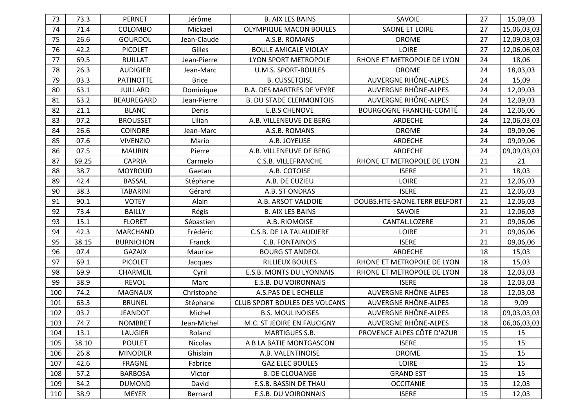| 73  | 73.3  | <b>PERNET</b>     | Jérôme         | <b>B. AIX LES BAINS</b>              | SAVOIE                         | 27 | 15,09,03    |
|-----|-------|-------------------|----------------|--------------------------------------|--------------------------------|----|-------------|
| 74  | 71.4  | COLOMBO           | Mickaël        | <b>OLYMPIQUE MACON BOULES</b>        | <b>SAONE ET LOIRE</b>          | 27 | 15,06,03,03 |
| 75  | 26.6  | <b>GOURDOL</b>    | Jean-Claude    | A.S.B. ROMANS                        | <b>DROME</b>                   | 27 | 12,09,03,03 |
| 76  | 42.2  | <b>PICOLET</b>    | Gilles         | <b>BOULE AMICALE VIOLAY</b>          | <b>LOIRE</b>                   | 27 | 12,06,06,03 |
| 77  | 69.5  | <b>RUILLAT</b>    | Jean-Pierre    | <b>LYON SPORT METROPOLE</b>          | RHONE ET METROPOLE DE LYON     | 24 | 18,06       |
| 78  | 26.3  | <b>AUDIGIER</b>   | Jean-Marc      | <b>U.M.S. SPORT-BOULES</b>           | <b>DROME</b>                   | 24 | 18,03,03    |
| 79  | 03.3  | <b>PATINOTTE</b>  | <b>Brice</b>   | <b>B. CUSSETOISE</b>                 | AUVERGNE RHÔNE-ALPES           | 24 | 15,09       |
| 80  | 63.1  | <b>JUILLARD</b>   | Dominique      | <b>B.A. DES MARTRES DE VEYRE</b>     | AUVERGNE RHÔNE-ALPES           | 24 | 12,09,03    |
| 81  | 63.2  | <b>BEAUREGARD</b> | Jean-Pierre    | <b>B. DU STADE CLERMONTOIS</b>       | AUVERGNE RHÔNE-ALPES           | 24 | 12,09,03    |
| 82  | 21.1  | <b>BLANC</b>      | Denis          | <b>E.B.S CHENOVE</b>                 | <b>BOURGOGNE FRANCHE-COMTÉ</b> | 24 | 12,06,06    |
| 83  | 07.2  | <b>BROUSSET</b>   | Lilian         | A.B. VILLENEUVE DE BERG              | ARDECHE                        | 24 | 12,06,03,03 |
| 84  | 26.6  | <b>COINDRE</b>    | Jean-Marc      | A.S.B. ROMANS                        | <b>DROME</b>                   | 24 | 09,09,06    |
| 85  | 07.6  | <b>VIVENZIO</b>   | Mario          | A.B. JOYEUSE                         | <b>ARDECHE</b>                 | 24 | 09,09,06    |
| 86  | 07.5  | <b>MAURIN</b>     | Pierre         | A.B. VILLENEUVE DE BERG              | ARDECHE                        | 24 | 09,09,03,03 |
| 87  | 69.25 | <b>CAPRIA</b>     | Carmelo        | <b>C.S.B. VILLEFRANCHE</b>           | RHONE ET METROPOLE DE LYON     | 21 | 21          |
| 88  | 38.7  | <b>MOYROUD</b>    | Gaetan         | A.B. COTOISE                         | <b>ISERE</b>                   | 21 | 18,03       |
| 89  | 42.4  | <b>BASSAL</b>     | Stéphane       | A.B. DE CUZIEU                       | <b>LOIRE</b>                   | 21 | 12,06,03    |
| 90  | 38.3  | <b>TABARINI</b>   | Gérard         | A.B. ST ONDRAS                       | <b>ISERE</b>                   | 21 | 12,06,03    |
| 91  | 90.1  | <b>VOTEY</b>      | Alain          | A.B. ARSOT VALDOIE                   | DOUBS.HTE-SAONE.TERR BELFORT   | 21 | 12,06,03    |
| 92  | 73.4  | <b>BAILLY</b>     | Régis          | <b>B. AIX LES BAINS</b>              | SAVOIE                         | 21 | 12,06,03    |
| 93  | 15.1  | <b>FLORET</b>     | Sébastien      | A.B. RIOMOISE                        | CANTAL.LOZERE                  | 21 | 09,06,06    |
| 94  | 42.3  | <b>MARCHAND</b>   | Frédéric       | <b>C.S.B. DE LA TALAUDIERE</b>       | <b>LOIRE</b>                   | 21 | 09,06,06    |
| 95  | 38.15 | <b>BURNICHON</b>  | Franck         | <b>C.B. FONTAINOIS</b>               | <b>ISERE</b>                   | 21 | 09,06,06    |
| 96  | 07.4  | <b>GAZAIX</b>     | Maurice        | <b>BOURG ST ANDEOL</b>               | <b>ARDECHE</b>                 | 18 | 15,03       |
| 97  | 69.1  | <b>PICOLET</b>    | Jacques        | RILLIEUX BOULES                      | RHONE ET METROPOLE DE LYON     | 18 | 15,03       |
| 98  | 69.9  | CHARMEIL          | Cyril          | <b>E.S.B. MONTS DU LYONNAIS</b>      | RHONE ET METROPOLE DE LYON     | 18 | 12,03,03    |
| 99  | 38.9  | <b>REVOL</b>      | Marc           | E.S.B. DU VOIRONNAIS                 | <b>ISERE</b>                   | 18 | 12,03,03    |
| 100 | 74.2  | MAGNAUX           | Christophe     | A.S.PAS DE L ECHELLE                 | AUVERGNE RHÔNE-ALPES           | 18 | 12,03,03    |
| 101 | 63.3  | <b>BRUNEL</b>     | Stéphane       | <b>CLUB SPORT BOULES DES VOLCANS</b> | AUVERGNE RHÔNE-ALPES           | 18 | 9,09        |
| 102 | 03.2  | <b>JEANDOT</b>    | Michel         | <b>B.S. MOULINOISES</b>              | AUVERGNE RHÔNE-ALPES           | 18 | 09,03,03,03 |
| 103 | 74.7  | <b>NOMBRET</b>    | Jean-Michel    | M.C. ST JEOIRE EN FAUCIGNY           | AUVERGNE RHÔNE-ALPES           | 18 | 06,06,03,03 |
| 104 | 13.1  | LAUGIER           | Roland         | <b>MARTIGUES S.B.</b>                | PROVENCE ALPES CÔTE D'AZUR     | 15 | 15          |
| 105 | 38.10 | <b>POULET</b>     | <b>Nicolas</b> | A B LA BATIE MONTGASCON              | <b>ISERE</b>                   | 15 | 15          |
| 106 | 26.8  | <b>MINODIER</b>   | Ghislain       | A.B. VALENTINOISE                    | <b>DROME</b>                   | 15 | 15          |
| 107 | 42.6  | <b>FRAGNE</b>     | Fabrice        | <b>GAZ ELEC BOULES</b>               | <b>LOIRE</b>                   | 15 | 15          |
| 108 | 57.2  | <b>BARBOSA</b>    | Victor         | <b>B. DE CLOUANGE</b>                | <b>GRAND EST</b>               | 15 | 15          |
| 109 |       | <b>DUMOND</b>     | David          | E.S.B. BASSIN DE THAU                | <b>OCCITANIE</b>               | 15 | 12,03       |
|     | 34.2  |                   |                |                                      |                                |    |             |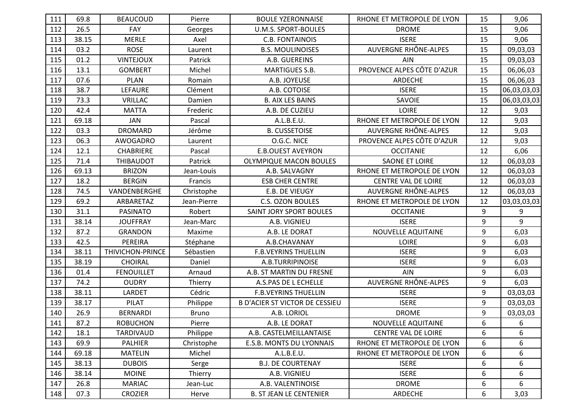| 111 |       |                   |              |                                       |                             |    |             |
|-----|-------|-------------------|--------------|---------------------------------------|-----------------------------|----|-------------|
|     | 69.8  | <b>BEAUCOUD</b>   | Pierre       | <b>BOULE YZERONNAISE</b>              | RHONE ET METROPOLE DE LYON  | 15 | 9,06        |
| 112 | 26.5  | <b>FAY</b>        | Georges      | <b>U.M.S. SPORT-BOULES</b>            | <b>DROME</b>                | 15 | 9,06        |
| 113 | 38.15 | <b>MERLE</b>      | Axel         | <b>C.B. FONTAINOIS</b>                | <b>ISERE</b>                | 15 | 9,06        |
| 114 | 03.2  | <b>ROSE</b>       | Laurent      | <b>B.S. MOULINOISES</b>               | AUVERGNE RHÔNE-ALPES        | 15 | 09,03,03    |
| 115 | 01.2  | <b>VINTEJOUX</b>  | Patrick      | A.B. GUEREINS                         | <b>AIN</b>                  | 15 | 09,03,03    |
| 116 | 13.1  | <b>GOMBERT</b>    | Michel       | <b>MARTIGUES S.B.</b>                 | PROVENCE ALPES CÔTE D'AZUR  | 15 | 06,06,03    |
| 117 | 07.6  | <b>PLAN</b>       | Romain       | A.B. JOYEUSE                          | ARDECHE                     | 15 | 06,06,03    |
| 118 | 38.7  | LEFAURE           | Clément      | A.B. COTOISE                          | <b>ISERE</b>                | 15 | 06,03,03,03 |
| 119 | 73.3  | <b>VRILLAC</b>    | Damien       | <b>B. AIX LES BAINS</b>               | SAVOIE                      | 15 | 06,03,03,03 |
| 120 | 42.4  | <b>MATTA</b>      | Frederic     | A.B. DE CUZIEU                        | <b>LOIRE</b>                | 12 | 9,03        |
| 121 | 69.18 | JAN               | Pascal       | A.L.B.E.U.                            | RHONE ET METROPOLE DE LYON  | 12 | 9,03        |
| 122 | 03.3  | <b>DROMARD</b>    | Jérôme       | <b>B. CUSSETOISE</b>                  | AUVERGNE RHÔNE-ALPES        | 12 | 9,03        |
| 123 | 06.3  | AWOGADRO          | Laurent      | O.G.C. NICE                           | PROVENCE ALPES CÔTE D'AZUR  | 12 | 9,03        |
| 124 | 12.1  | <b>CHABRIERE</b>  | Pascal       | <b>E.B.OUEST AVEYRON</b>              | <b>OCCITANIE</b>            | 12 | 6,06        |
| 125 | 71.4  | THIBAUDOT         | Patrick      | <b>OLYMPIQUE MACON BOULES</b>         | <b>SAONE ET LOIRE</b>       | 12 | 06,03,03    |
| 126 | 69.13 | <b>BRIZON</b>     | Jean-Louis   | A.B. SALVAGNY                         | RHONE ET METROPOLE DE LYON  | 12 | 06,03,03    |
| 127 | 18.2  | <b>BERGIN</b>     | Francis      | <b>ESB CHER CENTRE</b>                | <b>CENTRE VAL DE LOIRE</b>  | 12 | 06,03,03    |
| 128 | 74.5  | VANDENBERGHE      | Christophe   | E.B. DE VIEUGY                        | <b>AUVERGNE RHÔNE-ALPES</b> | 12 | 06,03,03    |
| 129 | 69.2  | ARBARETAZ         | Jean-Pierre  | <b>C.S. OZON BOULES</b>               | RHONE ET METROPOLE DE LYON  | 12 | 03,03,03,03 |
| 130 | 31.1  | <b>PASINATO</b>   | Robert       | <b>SAINT JORY SPORT BOULES</b>        | <b>OCCITANIE</b>            | 9  | 9           |
| 131 | 38.14 | <b>JOUFFRAY</b>   | Jean-Marc    | A.B. VIGNIEU                          | <b>ISERE</b>                | 9  | 9           |
| 132 | 87.2  | <b>GRANDON</b>    | Maxime       | A.B. LE DORAT                         | NOUVELLE AQUITAINE          | 9  | 6,03        |
| 133 | 42.5  | PEREIRA           | Stéphane     | A.B.CHAVANAY                          | <b>LOIRE</b>                | 9  | 6,03        |
| 134 | 38.11 |                   |              |                                       |                             |    |             |
|     |       | THIVICHON-PRINCE  | Sébastien    | <b>F.B.VEYRINS THUELLIN</b>           | <b>ISERE</b>                | 9  | 6,03        |
| 135 | 38.19 | CHOIRAL           | Daniel       | A.B.TURRIPINOISE                      | <b>ISERE</b>                | 9  | 6,03        |
| 136 | 01.4  | <b>FENOUILLET</b> | Arnaud       | A.B. ST MARTIN DU FRESNE              | AIN                         | 9  | 6,03        |
| 137 | 74.2  | <b>OUDRY</b>      | Thierry      | A.S.PAS DE L ECHELLE                  | AUVERGNE RHÔNE-ALPES        | 9  | 6,03        |
| 138 | 38.11 | LARDET            | Cédric       | <b>F.B.VEYRINS THUELLIN</b>           | <b>ISERE</b>                | 9  | 03,03,03    |
| 139 | 38.17 | PILAT             | Philippe     | <b>B D'ACIER ST VICTOR DE CESSIEU</b> | <b>ISERE</b>                | 9  | 03,03,03    |
| 140 | 26.9  | <b>BERNARDI</b>   | <b>Bruno</b> | A.B. LORIOL                           | <b>DROME</b>                | 9  | 03,03,03    |
| 141 | 87.2  | <b>ROBUCHON</b>   | Pierre       | A.B. LE DORAT                         | NOUVELLE AQUITAINE          | 6  | 6           |
| 142 | 18.1  | TARDIVAUD         | Philippe     | A.B. CASTELMEILLANTAISE               | CENTRE VAL DE LOIRE         | 6  | 6           |
| 143 | 69.9  | <b>PALHIER</b>    | Christophe   | E.S.B. MONTS DU LYONNAIS              | RHONE ET METROPOLE DE LYON  | 6  | 6           |
| 144 | 69.18 | <b>MATELIN</b>    | Michel       | A.L.B.E.U.                            | RHONE ET METROPOLE DE LYON  | 6  | 6           |
| 145 | 38.13 | <b>DUBOIS</b>     | Serge        | <b>B.J. DE COURTENAY</b>              | <b>ISERE</b>                | 6  | 6           |
| 146 | 38.14 | <b>MOINE</b>      | Thierry      | A.B. VIGNIEU                          | <b>ISERE</b>                | 6  | 6           |
| 147 | 26.8  | <b>MARIAC</b>     | Jean-Luc     | A.B. VALENTINOISE                     | <b>DROME</b>                | 6  | 6           |